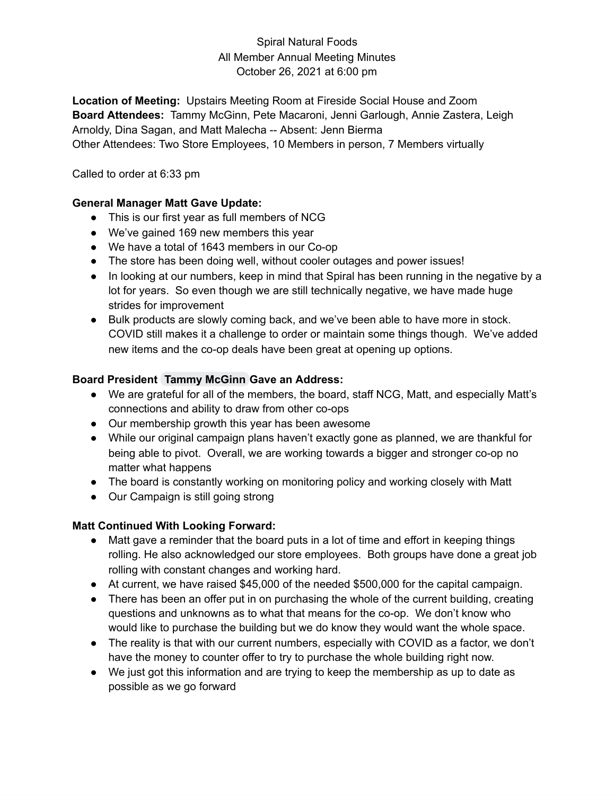### Spiral Natural Foods All Member Annual Meeting Minutes October 26, 2021 at 6:00 pm

**Location of Meeting:** Upstairs Meeting Room at Fireside Social House and Zoom **Board Attendees:** Tammy McGinn, Pete Macaroni, Jenni Garlough, Annie Zastera, Leigh Arnoldy, Dina Sagan, and Matt Malecha -- Absent: Jenn Bierma Other Attendees: Two Store Employees, 10 Members in person, 7 Members virtually

Called to order at 6:33 pm

#### **General Manager Matt Gave Update:**

- This is our first year as full members of NCG
- We've gained 169 new members this year
- We have a total of 1643 members in our Co-op
- The store has been doing well, without cooler outages and power issues!
- In looking at our numbers, keep in mind that Spiral has been running in the negative by a lot for years. So even though we are still technically negative, we have made huge strides for improvement
- Bulk products are slowly coming back, and we've been able to have more in stock. COVID still makes it a challenge to order or maintain some things though. We've added new items and the co-op deals have been great at opening up options.

### **Board President Tammy McGinn Gave an Address:**

- We are grateful for all of the members, the board, staff NCG, Matt, and especially Matt's connections and ability to draw from other co-ops
- Our membership growth this year has been awesome
- While our original campaign plans haven't exactly gone as planned, we are thankful for being able to pivot. Overall, we are working towards a bigger and stronger co-op no matter what happens
- The board is constantly working on monitoring policy and working closely with Matt
- Our Campaign is still going strong

# **Matt Continued With Looking Forward:**

- Matt gave a reminder that the board puts in a lot of time and effort in keeping things rolling. He also acknowledged our store employees. Both groups have done a great job rolling with constant changes and working hard.
- At current, we have raised \$45,000 of the needed \$500,000 for the capital campaign.
- There has been an offer put in on purchasing the whole of the current building, creating questions and unknowns as to what that means for the co-op. We don't know who would like to purchase the building but we do know they would want the whole space.
- The reality is that with our current numbers, especially with COVID as a factor, we don't have the money to counter offer to try to purchase the whole building right now.
- We just got this information and are trying to keep the membership as up to date as possible as we go forward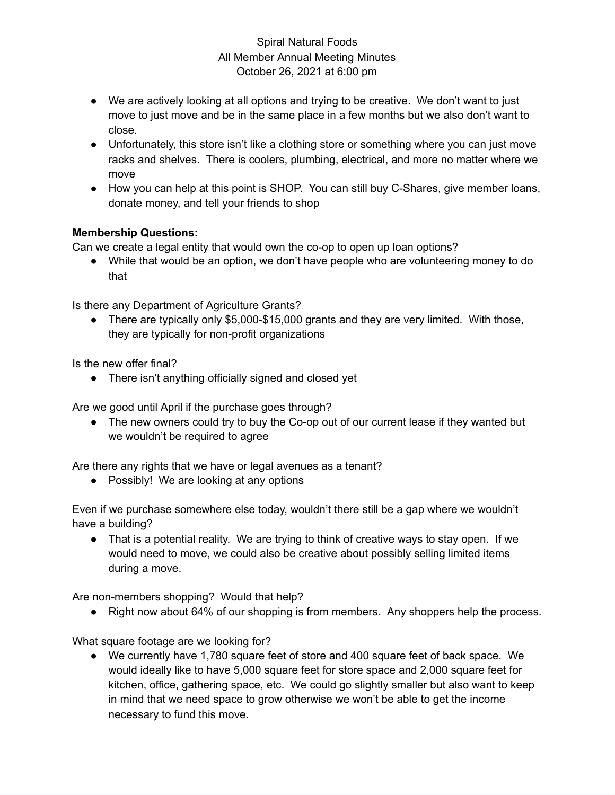### Spiral Natural Foods All Member Annual Meeting Minutes October 26, 2021 at 6:00 pm

- We are actively looking at all options and trying to be creative. We don't want to just move to just move and be in the same place in a few months but we also don't want to close.
- Unfortunately, this store isn't like a clothing store or something where you can just move racks and shelves. There is coolers, plumbing, electrical, and more no matter where we move
- How you can help at this point is SHOP. You can still buy C-Shares, give member loans, donate money, and tell your friends to shop

### **Membership Questions:**

Can we create a legal entity that would own the co-op to open up loan options?

● While that would be an option, we don't have people who are volunteering money to do that

Is there any Department of Agriculture Grants?

• There are typically only \$5,000-\$15,000 grants and they are very limited. With those, they are typically for non-profit organizations

Is the new offer final?

• There isn't anything officially signed and closed yet

Are we good until April if the purchase goes through?

• The new owners could try to buy the Co-op out of our current lease if they wanted but we wouldn't be required to agree

Are there any rights that we have or legal avenues as a tenant?

● Possibly! We are looking at any options

Even if we purchase somewhere else today, wouldn't there still be a gap where we wouldn't have a building?

• That is a potential reality. We are trying to think of creative ways to stay open. If we would need to move, we could also be creative about possibly selling limited items during a move.

Are non-members shopping? Would that help?

● Right now about 64% of our shopping is from members. Any shoppers help the process.

What square footage are we looking for?

● We currently have 1,780 square feet of store and 400 square feet of back space. We would ideally like to have 5,000 square feet for store space and 2,000 square feet for kitchen, office, gathering space, etc. We could go slightly smaller but also want to keep in mind that we need space to grow otherwise we won't be able to get the income necessary to fund this move.